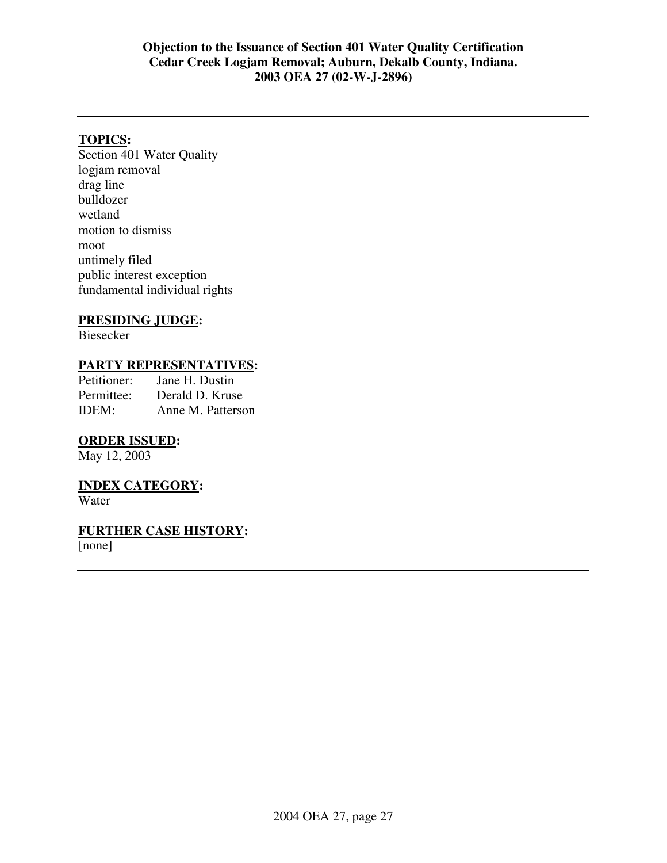# **Objection to the Issuance of Section 401 Water Quality Certification Cedar Creek Logjam Removal; Auburn, Dekalb County, Indiana. 2003 OEA 27 (02-W-J-2896)**

# **TOPICS:**

Section 401 Water Quality logjam removal drag line bulldozer wetland motion to dismiss moot untimely filed public interest exception fundamental individual rights

# **PRESIDING JUDGE:**

Biesecker

# **PARTY REPRESENTATIVES:**<br>Petitioner: Jane H. Dustin

Jane H. Dustin Permittee: Derald D. Kruse IDEM: Anne M. Patterson

# **ORDER ISSUED:**

May 12, 2003

# **INDEX CATEGORY:**

Water

# **FURTHER CASE HISTORY:**

[none]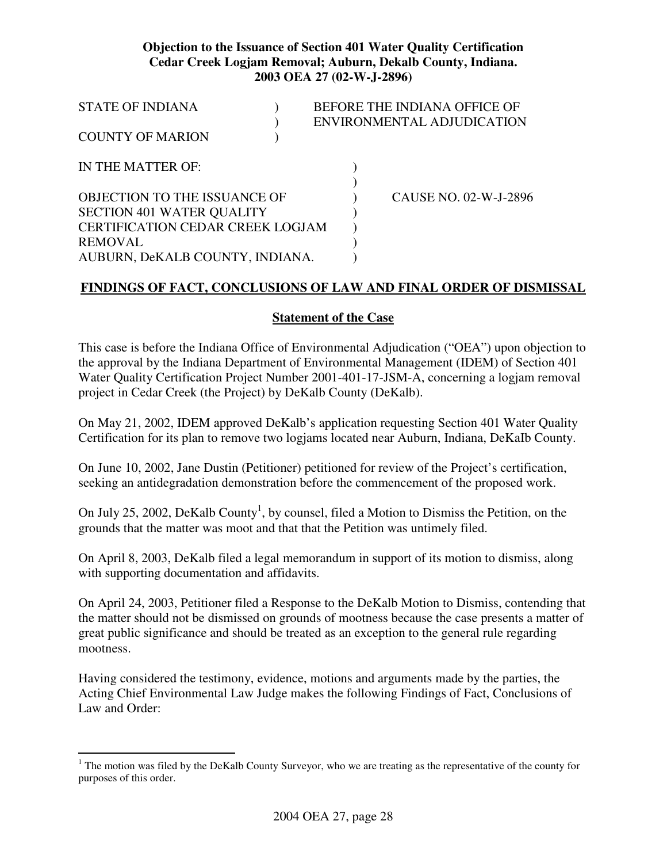# **Objection to the Issuance of Section 401 Water Quality Certification Cedar Creek Logjam Removal; Auburn, Dekalb County, Indiana. 2003 OEA 27 (02-W-J-2896)**

| <b>STATE OF INDIANA</b>                 |  | BEFORE THE INDIANA OFFICE OF |                            |
|-----------------------------------------|--|------------------------------|----------------------------|
|                                         |  |                              | ENVIRONMENTAL ADJUDICATION |
| <b>COUNTY OF MARION</b>                 |  |                              |                            |
| IN THE MATTER OF:                       |  |                              |                            |
|                                         |  |                              |                            |
| OBJECTION TO THE ISSUANCE OF            |  |                              | CAUSE NO. 02-W-J-2896      |
| <b>SECTION 401 WATER QUALITY</b>        |  |                              |                            |
| <b>CERTIFICATION CEDAR CREEK LOGJAM</b> |  |                              |                            |
| <b>REMOVAL</b>                          |  |                              |                            |
| AUBURN, DeKALB COUNTY, INDIANA.         |  |                              |                            |

# **FINDINGS OF FACT, CONCLUSIONS OF LAW AND FINAL ORDER OF DISMISSAL**

# **Statement of the Case**

This case is before the Indiana Office of Environmental Adjudication ("OEA") upon objection to the approval by the Indiana Department of Environmental Management (IDEM) of Section 401 Water Quality Certification Project Number 2001-401-17-JSM-A, concerning a logjam removal project in Cedar Creek (the Project) by DeKalb County (DeKalb).

On May 21, 2002, IDEM approved DeKalb's application requesting Section 401 Water Quality Certification for its plan to remove two logjams located near Auburn, Indiana, DeKaIb County.

On June 10, 2002, Jane Dustin (Petitioner) petitioned for review of the Project's certification, seeking an antidegradation demonstration before the commencement of the proposed work.

On July 25, 2002, DeKalb County<sup>1</sup>, by counsel, filed a Motion to Dismiss the Petition, on the grounds that the matter was moot and that that the Petition was untimely filed.

On April 8, 2003, DeKalb filed a legal memorandum in support of its motion to dismiss, along with supporting documentation and affidavits.

On April 24, 2003, Petitioner filed a Response to the DeKalb Motion to Dismiss, contending that the matter should not be dismissed on grounds of mootness because the case presents a matter of great public significance and should be treated as an exception to the general rule regarding mootness.

Having considered the testimony, evidence, motions and arguments made by the parties, the Acting Chief Environmental Law Judge makes the following Findings of Fact, Conclusions of Law and Order:

<sup>&</sup>lt;sup>1</sup> The motion was filed by the DeKalb County Surveyor, who we are treating as the representative of the county for purposes of this order.